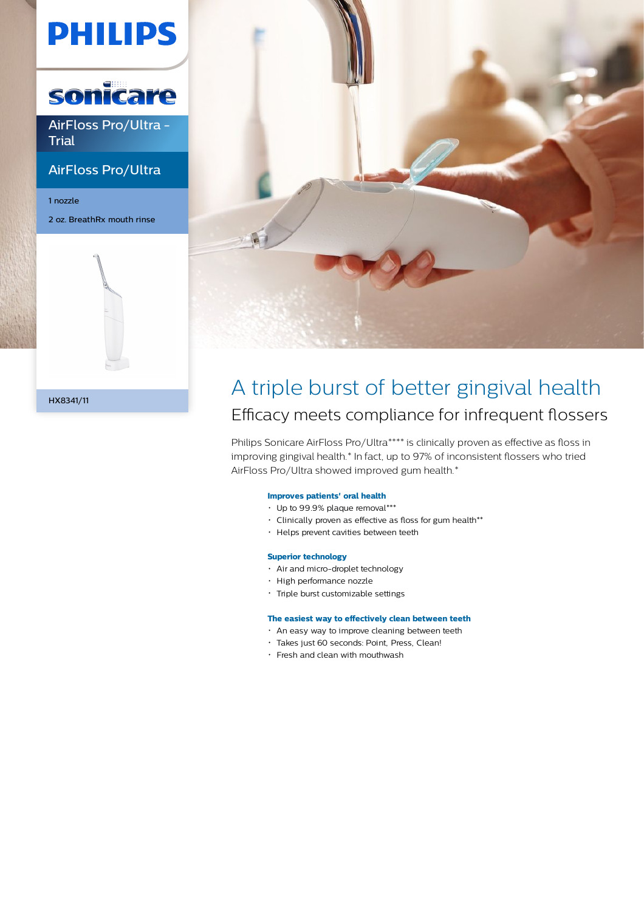# **PHILIPS**



AirFloss Pro/Ultra - **Trial** 

# AirFloss Pro/Ultra

1 nozzle 2 oz. BreathRx mouth rinse



# HX8341/11

# A triple burst of better gingival health Efficacy meets compliance for infrequent flossers

Philips Sonicare AirFloss Pro/Ultra\*\*\*\* is clinically proven as effective as floss in improving gingival health.\* In fact, up to 97% of inconsistent flossers who tried AirFloss Pro/Ultra showed improved gum health.\*

## **Improves patients' oral health**

- Up to 99.9% plaque removal\*\*\*
- Clinically proven as effective as floss for gum health\*\*
- Helps prevent cavities between teeth

### **Superior technology**

- Air and micro-droplet technology
- High performance nozzle
- Triple burst customizable settings

# **The easiest way to effectively clean between teeth**

- An easy way to improve cleaning between teeth
- Takes just 60 seconds: Point, Press, Clean!
- Fresh and clean with mouthwash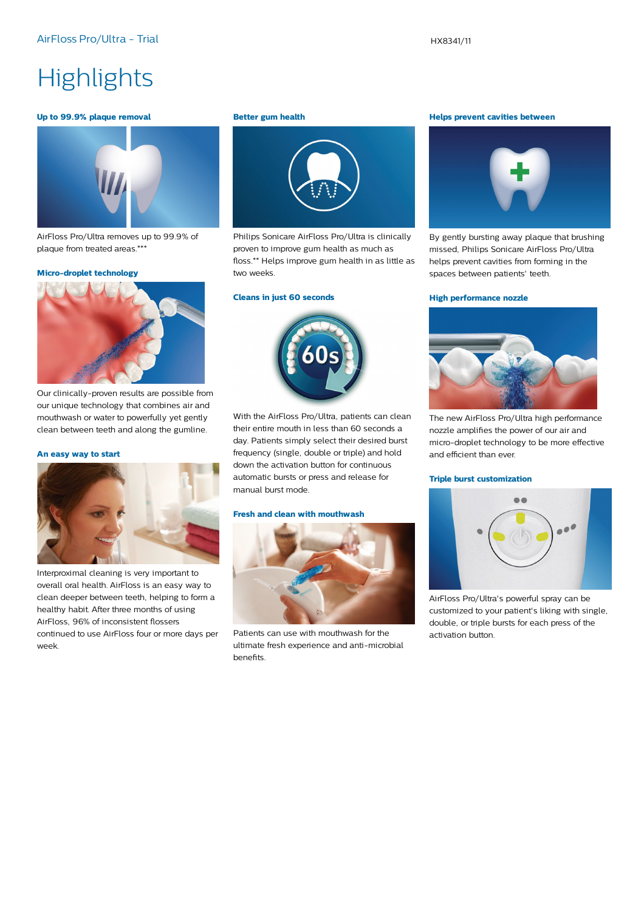# **Highlights**

#### **Up to 99.9% plaque removal**



AirFloss Pro/Ultra removes up to 99.9% of plaque from treated areas.\*\*\*

#### **Micro-droplet technology**



Our clinically-proven results are possible from our unique technology that combines air and mouthwash or water to powerfully yet gently clean between teeth and along the gumline.

#### **An easy way to start**



Interproximal cleaning is very important to overall oral health. AirFloss is an easy way to clean deeper between teeth, helping to form a healthy habit. After three months of using AirFloss, 96% of inconsistent flossers continued to use AirFloss four or more days per week.

#### **Better gum health**



Philips Sonicare AirFloss Pro/Ultra is clinically proven to improve gum health as much as floss.\*\* Helps improve gum health in as little as two weeks.

#### **Cleans in just 60 seconds**



With the AirFloss Pro/Ultra, patients can clean their entire mouth in less than 60 seconds a day. Patients simply select their desired burst frequency (single, double or triple) and hold down the activation button for continuous automatic bursts or press and release for manual burst mode.

### **Fresh and clean with mouthwash**



Patients can use with mouthwash for the ultimate fresh experience and anti-microbial benefits.

#### **Helps prevent cavities between**



By gently bursting away plaque that brushing missed, Philips Sonicare AirFloss Pro/Ultra helps prevent cavities from forming in the spaces between patients' teeth.

#### **High performance nozzle**



The new AirFloss Pro/Ultra high performance nozzle amplifies the power of our air and micro-droplet technology to be more effective and efficient than ever.

#### **Triple burst customization**



AirFloss Pro/Ultra's powerful spray can be customized to your patient's liking with single, double, or triple bursts for each press of the activation button.